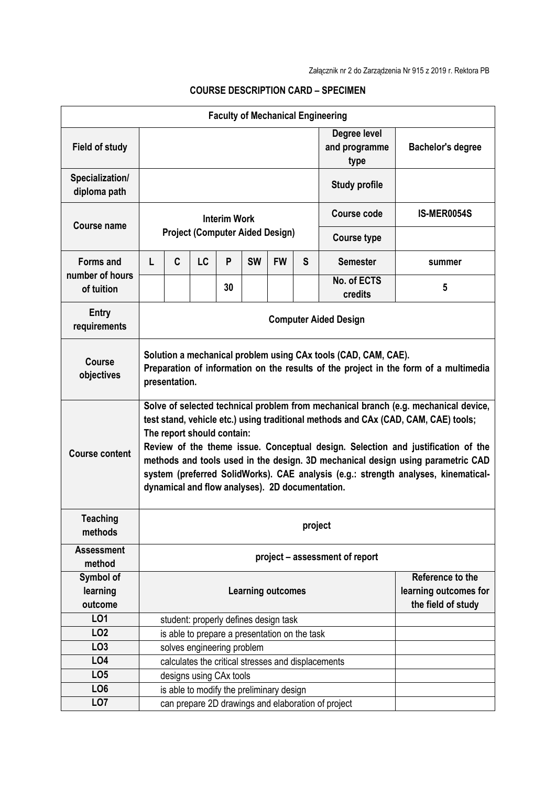| <b>Faculty of Mechanical Engineering</b> |                                                                                                                                                                                                                                                                                                                                                                                                                                                                                                                         |   |                                               |    |                          |           |   |                                                    |                          |  |
|------------------------------------------|-------------------------------------------------------------------------------------------------------------------------------------------------------------------------------------------------------------------------------------------------------------------------------------------------------------------------------------------------------------------------------------------------------------------------------------------------------------------------------------------------------------------------|---|-----------------------------------------------|----|--------------------------|-----------|---|----------------------------------------------------|--------------------------|--|
| <b>Field of study</b>                    |                                                                                                                                                                                                                                                                                                                                                                                                                                                                                                                         |   |                                               |    |                          |           |   | Degree level<br>and programme<br>type              | <b>Bachelor's degree</b> |  |
| Specialization/<br>diploma path          |                                                                                                                                                                                                                                                                                                                                                                                                                                                                                                                         |   |                                               |    |                          |           |   | <b>Study profile</b>                               |                          |  |
| Course name                              | <b>Interim Work</b><br><b>Project (Computer Aided Design)</b>                                                                                                                                                                                                                                                                                                                                                                                                                                                           |   |                                               |    |                          |           |   | Course code                                        | IS-MER0054S              |  |
|                                          |                                                                                                                                                                                                                                                                                                                                                                                                                                                                                                                         |   |                                               |    |                          |           |   | <b>Course type</b>                                 |                          |  |
| <b>Forms and</b><br>number of hours      | L                                                                                                                                                                                                                                                                                                                                                                                                                                                                                                                       | C | <b>LC</b>                                     | P  | <b>SW</b>                | <b>FW</b> | S | <b>Semester</b>                                    | summer                   |  |
| of tuition                               |                                                                                                                                                                                                                                                                                                                                                                                                                                                                                                                         |   |                                               | 30 |                          |           |   | No. of ECTS<br>credits                             | 5                        |  |
| <b>Entry</b><br>requirements             | <b>Computer Aided Design</b>                                                                                                                                                                                                                                                                                                                                                                                                                                                                                            |   |                                               |    |                          |           |   |                                                    |                          |  |
| <b>Course</b><br>objectives              | Solution a mechanical problem using CAx tools (CAD, CAM, CAE).<br>Preparation of information on the results of the project in the form of a multimedia<br>presentation.                                                                                                                                                                                                                                                                                                                                                 |   |                                               |    |                          |           |   |                                                    |                          |  |
| <b>Course content</b>                    | Solve of selected technical problem from mechanical branch (e.g. mechanical device,<br>test stand, vehicle etc.) using traditional methods and CAx (CAD, CAM, CAE) tools;<br>The report should contain:<br>Review of the theme issue. Conceptual design. Selection and justification of the<br>methods and tools used in the design. 3D mechanical design using parametric CAD<br>system (preferred SolidWorks). CAE analysis (e.g.: strength analyses, kinematical-<br>dynamical and flow analyses). 2D documentation. |   |                                               |    |                          |           |   |                                                    |                          |  |
| <b>Teaching</b><br>methods               | project                                                                                                                                                                                                                                                                                                                                                                                                                                                                                                                 |   |                                               |    |                          |           |   |                                                    |                          |  |
| <b>Assessment</b><br>method              | project - assessment of report                                                                                                                                                                                                                                                                                                                                                                                                                                                                                          |   |                                               |    |                          |           |   |                                                    |                          |  |
| Symbol of                                |                                                                                                                                                                                                                                                                                                                                                                                                                                                                                                                         |   |                                               |    |                          |           |   |                                                    | Reference to the         |  |
| learning                                 |                                                                                                                                                                                                                                                                                                                                                                                                                                                                                                                         |   |                                               |    | <b>Learning outcomes</b> |           |   |                                                    | learning outcomes for    |  |
| outcome                                  |                                                                                                                                                                                                                                                                                                                                                                                                                                                                                                                         |   |                                               |    |                          |           |   |                                                    | the field of study       |  |
| LO1                                      |                                                                                                                                                                                                                                                                                                                                                                                                                                                                                                                         |   | student: properly defines design task         |    |                          |           |   |                                                    |                          |  |
| LO <sub>2</sub>                          |                                                                                                                                                                                                                                                                                                                                                                                                                                                                                                                         |   | is able to prepare a presentation on the task |    |                          |           |   |                                                    |                          |  |
| LO <sub>3</sub>                          | solves engineering problem                                                                                                                                                                                                                                                                                                                                                                                                                                                                                              |   |                                               |    |                          |           |   |                                                    |                          |  |
| LO4                                      | calculates the critical stresses and displacements                                                                                                                                                                                                                                                                                                                                                                                                                                                                      |   |                                               |    |                          |           |   |                                                    |                          |  |
| LO <sub>5</sub>                          |                                                                                                                                                                                                                                                                                                                                                                                                                                                                                                                         |   | designs using CAx tools                       |    |                          |           |   |                                                    |                          |  |
| LO <sub>6</sub>                          |                                                                                                                                                                                                                                                                                                                                                                                                                                                                                                                         |   | is able to modify the preliminary design      |    |                          |           |   |                                                    |                          |  |
| LO <sub>7</sub>                          |                                                                                                                                                                                                                                                                                                                                                                                                                                                                                                                         |   |                                               |    |                          |           |   | can prepare 2D drawings and elaboration of project |                          |  |

## **COURSE DESCRIPTION CARD – SPECIMEN**